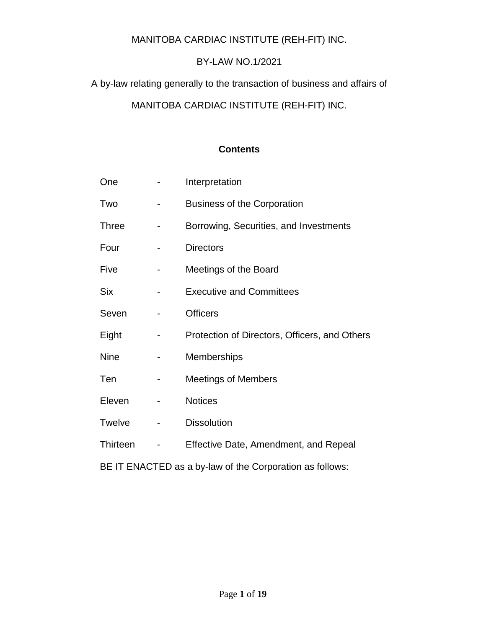## MANITOBA CARDIAC INSTITUTE (REH-FIT) INC.

## BY-LAW NO.1/2021

A by-law relating generally to the transaction of business and affairs of

# MANITOBA CARDIAC INSTITUTE (REH-FIT) INC.

#### **Contents**

| One                                                      |  | Interpretation                                |
|----------------------------------------------------------|--|-----------------------------------------------|
| Two                                                      |  | <b>Business of the Corporation</b>            |
| <b>Three</b>                                             |  | Borrowing, Securities, and Investments        |
| Four                                                     |  | <b>Directors</b>                              |
| Five                                                     |  | Meetings of the Board                         |
| <b>Six</b>                                               |  | <b>Executive and Committees</b>               |
| Seven                                                    |  | <b>Officers</b>                               |
| Eight                                                    |  | Protection of Directors, Officers, and Others |
| <b>Nine</b>                                              |  | <b>Memberships</b>                            |
| Ten                                                      |  | <b>Meetings of Members</b>                    |
| Eleven                                                   |  | <b>Notices</b>                                |
| <b>Twelve</b>                                            |  | <b>Dissolution</b>                            |
| Thirteen                                                 |  | Effective Date, Amendment, and Repeal         |
| BE IT ENACTED as a by-law of the Corporation as follows: |  |                                               |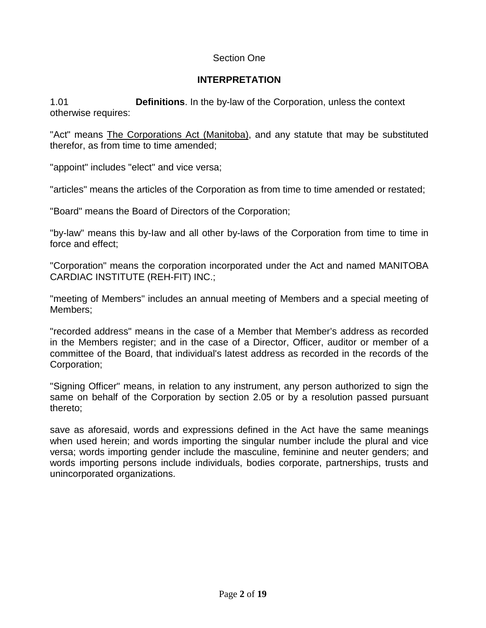## Section One

## **INTERPRETATION**

1.01 **Definitions**. In the by-law of the Corporation, unless the context otherwise requires:

"Act" means The Corporations Act (Manitoba), and any statute that may be substituted therefor, as from time to time amended;

"appoint" includes "elect" and vice versa;

"articles" means the articles of the Corporation as from time to time amended or restated;

"Board" means the Board of Directors of the Corporation;

"by-law" means this by-Iaw and all other by-laws of the Corporation from time to time in force and effect;

"Corporation" means the corporation incorporated under the Act and named MANITOBA CARDIAC INSTITUTE (REH-FIT) INC.;

"meeting of Members" includes an annual meeting of Members and a special meeting of Members;

"recorded address" means in the case of a Member that Member's address as recorded in the Members register; and in the case of a Director, Officer, auditor or member of a committee of the Board, that individual's latest address as recorded in the records of the Corporation;

"Signing Officer" means, in relation to any instrument, any person authorized to sign the same on behalf of the Corporation by section 2.05 or by a resolution passed pursuant thereto;

save as aforesaid, words and expressions defined in the Act have the same meanings when used herein; and words importing the singular number include the plural and vice versa; words importing gender include the masculine, feminine and neuter genders; and words importing persons include individuals, bodies corporate, partnerships, trusts and unincorporated organizations.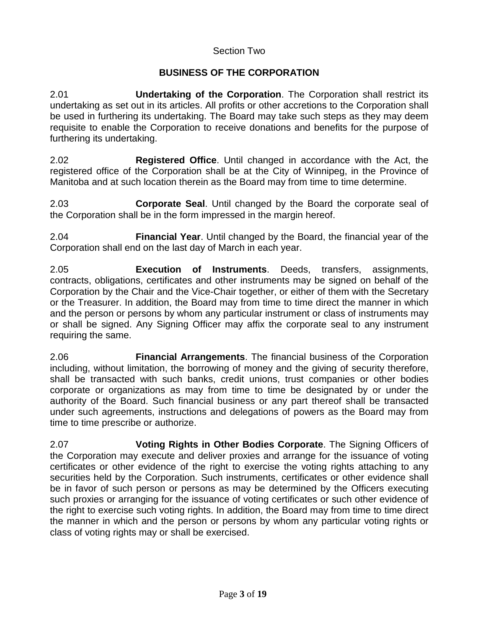#### Section Two

# **BUSINESS OF THE CORPORATION**

2.01 **Undertaking of the Corporation**. The Corporation shall restrict its undertaking as set out in its articles. All profits or other accretions to the Corporation shall be used in furthering its undertaking. The Board may take such steps as they may deem requisite to enable the Corporation to receive donations and benefits for the purpose of furthering its undertaking.

2.02 **Registered Office**. Until changed in accordance with the Act, the registered office of the Corporation shall be at the City of Winnipeg, in the Province of Manitoba and at such location therein as the Board may from time to time determine.

2.03 **Corporate Seal**. Until changed by the Board the corporate seal of the Corporation shall be in the form impressed in the margin hereof.

2.04 **Financial Year**. Until changed by the Board, the financial year of the Corporation shall end on the last day of March in each year.

2.05 **Execution of Instruments**. Deeds, transfers, assignments, contracts, obligations, certificates and other instruments may be signed on behalf of the Corporation by the Chair and the Vice-Chair together, or either of them with the Secretary or the Treasurer. In addition, the Board may from time to time direct the manner in which and the person or persons by whom any particular instrument or class of instruments may or shall be signed. Any Signing Officer may affix the corporate seal to any instrument requiring the same.

2.06 **Financial Arrangements**. The financial business of the Corporation including, without limitation, the borrowing of money and the giving of security therefore, shall be transacted with such banks, credit unions, trust companies or other bodies corporate or organizations as may from time to time be designated by or under the authority of the Board. Such financial business or any part thereof shall be transacted under such agreements, instructions and delegations of powers as the Board may from time to time prescribe or authorize.

2.07 **Voting Rights in Other Bodies Corporate**. The Signing Officers of the Corporation may execute and deliver proxies and arrange for the issuance of voting certificates or other evidence of the right to exercise the voting rights attaching to any securities held by the Corporation. Such instruments, certificates or other evidence shall be in favor of such person or persons as may be determined by the Officers executing such proxies or arranging for the issuance of voting certificates or such other evidence of the right to exercise such voting rights. In addition, the Board may from time to time direct the manner in which and the person or persons by whom any particular voting rights or class of voting rights may or shall be exercised.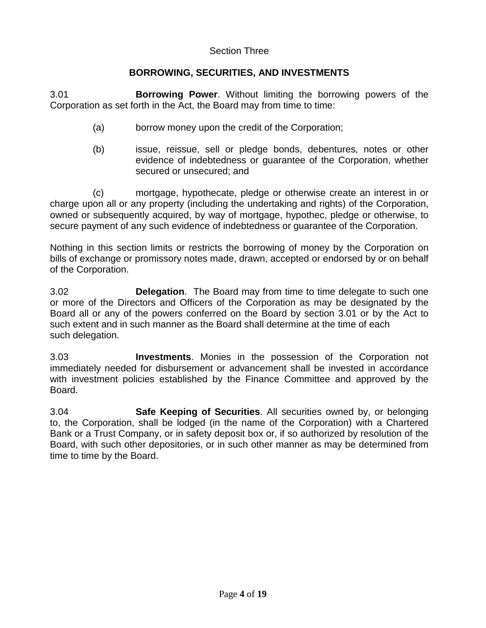#### Section Three

## **BORROWING, SECURITIES, AND INVESTMENTS**

3.01 **Borrowing Power**. Without limiting the borrowing powers of the Corporation as set forth in the Act, the Board may from time to time:

- (a) borrow money upon the credit of the Corporation;
- (b) issue, reissue, sell or pledge bonds, debentures, notes or other evidence of indebtedness or guarantee of the Corporation, whether secured or unsecured; and

(c) mortgage, hypothecate, pledge or otherwise create an interest in or charge upon all or any property (including the undertaking and rights) of the Corporation, owned or subsequently acquired, by way of mortgage, hypothec, pledge or otherwise, to secure payment of any such evidence of indebtedness or guarantee of the Corporation.

Nothing in this section limits or restricts the borrowing of money by the Corporation on bills of exchange or promissory notes made, drawn, accepted or endorsed by or on behalf of the Corporation.

3.02 **Delegation**. The Board may from time to time delegate to such one or more of the Directors and Officers of the Corporation as may be designated by the Board all or any of the powers conferred on the Board by section 3.01 or by the Act to such extent and in such manner as the Board shall determine at the time of each such delegation.

3.03 **Investments**. Monies in the possession of the Corporation not immediately needed for disbursement or advancement shall be invested in accordance with investment policies established by the Finance Committee and approved by the Board.

3.04 **Safe Keeping of Securities**. All securities owned by, or belonging to, the Corporation, shall be lodged (in the name of the Corporation) with a Chartered Bank or a Trust Company, or in safety deposit box or, if so authorized by resolution of the Board, with such other depositories, or in such other manner as may be determined from time to time by the Board.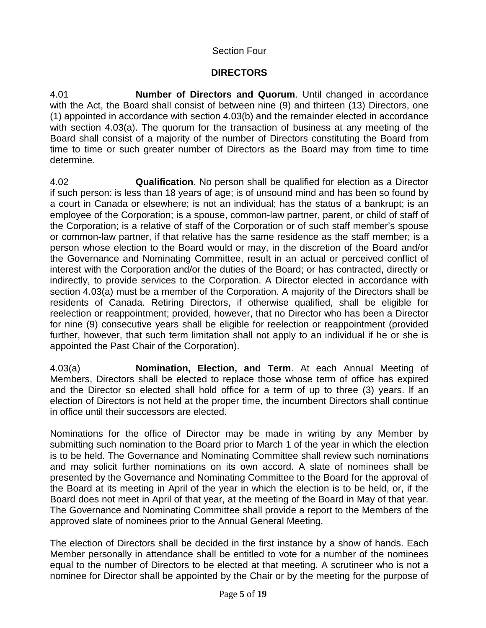# Section Four

# **DIRECTORS**

4.01 **Number of Directors and Quorum**. Until changed in accordance with the Act, the Board shall consist of between nine (9) and thirteen (13) Directors, one (1) appointed in accordance with section 4.03(b) and the remainder elected in accordance with section 4.03(a). The quorum for the transaction of business at any meeting of the Board shall consist of a majority of the number of Directors constituting the Board from time to time or such greater number of Directors as the Board may from time to time determine.

4.02 **Qualification**. No person shall be qualified for election as a Director if such person: is less than 18 years of age; is of unsound mind and has been so found by a court in Canada or elsewhere; is not an individual; has the status of a bankrupt; is an employee of the Corporation; is a spouse, common-law partner, parent, or child of staff of the Corporation; is a relative of staff of the Corporation or of such staff member's spouse or common-law partner, if that relative has the same residence as the staff member; is a person whose election to the Board would or may, in the discretion of the Board and/or the Governance and Nominating Committee, result in an actual or perceived conflict of interest with the Corporation and/or the duties of the Board; or has contracted, directly or indirectly, to provide services to the Corporation. A Director elected in accordance with section 4.03(a) must be a member of the Corporation. A majority of the Directors shall be residents of Canada. Retiring Directors, if otherwise qualified, shall be eligible for reelection or reappointment; provided, however, that no Director who has been a Director for nine (9) consecutive years shall be eligible for reelection or reappointment (provided further, however, that such term limitation shall not apply to an individual if he or she is appointed the Past Chair of the Corporation).

4.03(a) **Nomination, Election, and Term**. At each Annual Meeting of Members, Directors shall be elected to replace those whose term of office has expired and the Director so elected shall hold office for a term of up to three (3) years. lf an election of Directors is not held at the proper time, the incumbent Directors shall continue in office until their successors are elected.

Nominations for the office of Director may be made in writing by any Member by submitting such nomination to the Board prior to March 1 of the year in which the election is to be held. The Governance and Nominating Committee shall review such nominations and may solicit further nominations on its own accord. A slate of nominees shall be presented by the Governance and Nominating Committee to the Board for the approval of the Board at its meeting in April of the year in which the election is to be held, or, if the Board does not meet in April of that year, at the meeting of the Board in May of that year. The Governance and Nominating Committee shall provide a report to the Members of the approved slate of nominees prior to the Annual General Meeting.

The election of Directors shall be decided in the first instance by a show of hands. Each Member personally in attendance shall be entitled to vote for a number of the nominees equal to the number of Directors to be elected at that meeting. A scrutineer who is not a nominee for Director shall be appointed by the Chair or by the meeting for the purpose of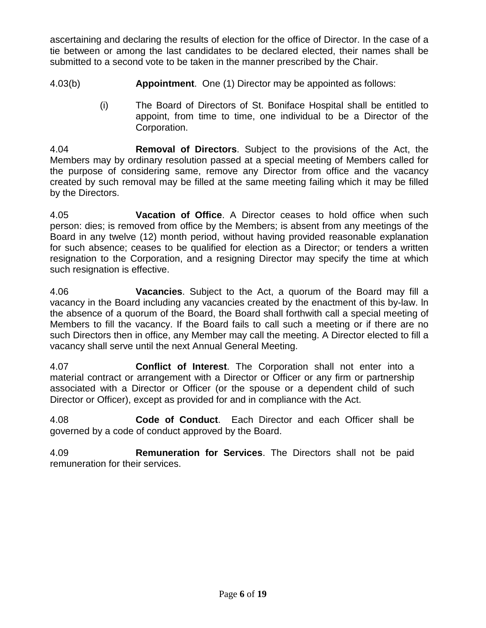ascertaining and declaring the results of election for the office of Director. In the case of a tie between or among the last candidates to be declared elected, their names shall be submitted to a second vote to be taken in the manner prescribed by the Chair.

- 4.03(b) **Appointment**. One (1) Director may be appointed as follows:
	- (i) The Board of Directors of St. Boniface Hospital shall be entitled to appoint, from time to time, one individual to be a Director of the Corporation.

4.04 **Removal of Directors**. Subject to the provisions of the Act, the Members may by ordinary resolution passed at a special meeting of Members called for the purpose of considering same, remove any Director from office and the vacancy created by such removal may be filled at the same meeting failing which it may be filled by the Directors.

4.05 **Vacation of Office**. A Director ceases to hold office when such person: dies; is removed from office by the Members; is absent from any meetings of the Board in any twelve (12) month period, without having provided reasonable explanation for such absence; ceases to be qualified for election as a Director; or tenders a written resignation to the Corporation, and a resigning Director may specify the time at which such resignation is effective.

4.06 **Vacancies**. Subject to the Act, a quorum of the Board may fill a vacancy in the Board including any vacancies created by the enactment of this by-law. ln the absence of a quorum of the Board, the Board shall forthwith call a special meeting of Members to fill the vacancy. If the Board fails to call such a meeting or if there are no such Directors then in office, any Member may call the meeting. A Director elected to fill a vacancy shall serve until the next Annual General Meeting.

4.07 **Conflict of Interest**. The Corporation shall not enter into a material contract or arrangement with a Director or Officer or any firm or partnership associated with a Director or Officer (or the spouse or a dependent child of such Director or Officer), except as provided for and in compliance with the Act.

4.08 **Code of Conduct**. Each Director and each Officer shall be governed by a code of conduct approved by the Board.

4.09 **Remuneration for Services**. The Directors shall not be paid remuneration for their services.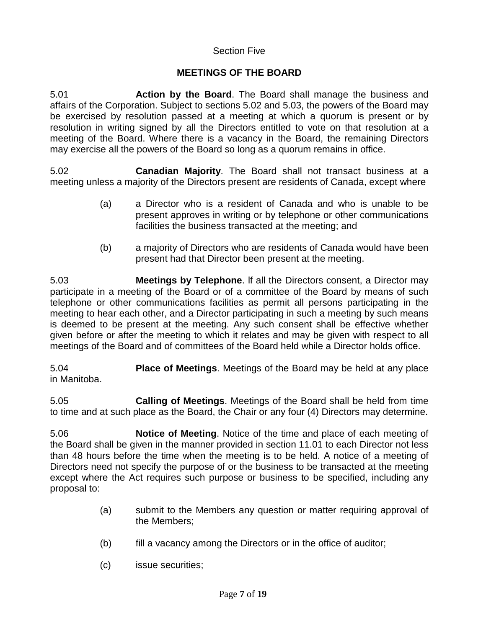#### Section Five

## **MEETINGS OF THE BOARD**

5.01 **Action by the Board**. The Board shall manage the business and affairs of the Corporation. Subject to sections 5.02 and 5.03, the powers of the Board may be exercised by resolution passed at a meeting at which a quorum is present or by resolution in writing signed by all the Directors entitled to vote on that resolution at a meeting of the Board. Where there is a vacancy in the Board, the remaining Directors may exercise all the powers of the Board so long as a quorum remains in office.

5.02 **Canadian Majority**. The Board shall not transact business at a meeting unless a majority of the Directors present are residents of Canada, except where

- (a) a Director who is a resident of Canada and who is unable to be present approves in writing or by telephone or other communications facilities the business transacted at the meeting; and
- (b) a majority of Directors who are residents of Canada would have been present had that Director been present at the meeting.

5.03 **Meetings by Telephone**. lf all the Directors consent, a Director may participate in a meeting of the Board or of a committee of the Board by means of such telephone or other communications facilities as permit all persons participating in the meeting to hear each other, and a Director participating in such a meeting by such means is deemed to be present at the meeting. Any such consent shall be effective whether given before or after the meeting to which it relates and may be given with respect to all meetings of the Board and of committees of the Board held while a Director holds office.

5.04 **Place of Meetings**. Meetings of the Board may be held at any place in Manitoba.

5.05 **Calling of Meetings**. Meetings of the Board shall be held from time to time and at such place as the Board, the Chair or any four (4) Directors may determine.

5.06 **Notice of Meeting**. Notice of the time and place of each meeting of the Board shall be given in the manner provided in section 11.01 to each Director not less than 48 hours before the time when the meeting is to be held. A notice of a meeting of Directors need not specify the purpose of or the business to be transacted at the meeting except where the Act requires such purpose or business to be specified, including any proposal to:

- (a) submit to the Members any question or matter requiring approval of the Members;
- (b) fill a vacancy among the Directors or in the office of auditor;
- (c) issue securities;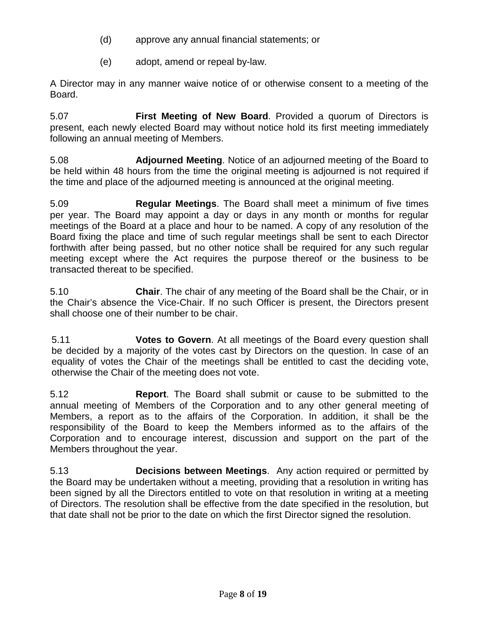- (d) approve any annual financial statements; or
- (e) adopt, amend or repeal by-law.

A Director may in any manner waive notice of or otherwise consent to a meeting of the Board.

5.07 **First Meeting of New Board**. Provided a quorum of Directors is present, each newly elected Board may without notice hold its first meeting immediately following an annual meeting of Members.

5.08 **Adjourned Meeting**. Notice of an adjourned meeting of the Board to be held within 48 hours from the time the original meeting is adjourned is not required if the time and place of the adjourned meeting is announced at the original meeting.

5.09 **Regular Meetings**. The Board shall meet a minimum of five times per year. The Board may appoint a day or days in any month or months for regular meetings of the Board at a place and hour to be named. A copy of any resolution of the Board fixing the place and time of such regular meetings shall be sent to each Director forthwith after being passed, but no other notice shall be required for any such regular meeting except where the Act requires the purpose thereof or the business to be transacted thereat to be specified.

5.10 **Chair**. The chair of any meeting of the Board shall be the Chair, or in the Chair's absence the Vice-Chair. lf no such Officer is present, the Directors present shall choose one of their number to be chair.

5.11 **Votes to Govern**. At all meetings of the Board every question shall be decided by a majority of the votes cast by Directors on the question. ln case of an equality of votes the Chair of the meetings shall be entitled to cast the deciding vote, otherwise the Chair of the meeting does not vote.

5.12 **Report**. The Board shall submit or cause to be submitted to the annual meeting of Members of the Corporation and to any other general meeting of Members, a report as to the affairs of the Corporation. In addition, it shall be the responsibility of the Board to keep the Members informed as to the affairs of the Corporation and to encourage interest, discussion and support on the part of the Members throughout the year.

5.13 **Decisions between Meetings**. Any action required or permitted by the Board may be undertaken without a meeting, providing that a resolution in writing has been signed by all the Directors entitled to vote on that resolution in writing at a meeting of Directors. The resolution shall be effective from the date specified in the resolution, but that date shall not be prior to the date on which the first Director signed the resolution.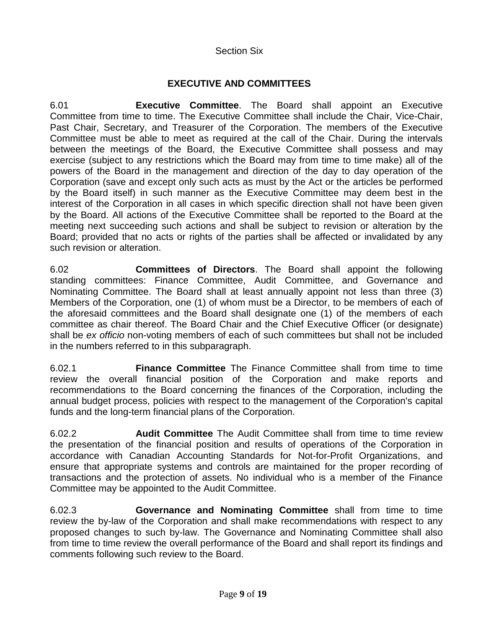## Section Six

## **EXECUTIVE AND COMMITTEES**

6.01 **Executive Committee**. The Board shall appoint an Executive Committee from time to time. The Executive Committee shall include the Chair, Vice-Chair, Past Chair, Secretary, and Treasurer of the Corporation. The members of the Executive Committee must be able to meet as required at the call of the Chair. During the intervals between the meetings of the Board, the Executive Committee shall possess and may exercise (subject to any restrictions which the Board may from time to time make) all of the powers of the Board in the management and direction of the day to day operation of the Corporation (save and except only such acts as must by the Act or the articles be performed by the Board itself) in such manner as the Executive Committee may deem best in the interest of the Corporation in all cases in which specific direction shall not have been given by the Board. All actions of the Executive Committee shall be reported to the Board at the meeting next succeeding such actions and shall be subject to revision or alteration by the Board; provided that no acts or rights of the parties shall be affected or invalidated by any such revision or alteration.

6.02 **Committees of Directors**. The Board shall appoint the following standing committees: Finance Committee, Audit Committee, and Governance and Nominating Committee. The Board shall at least annually appoint not less than three (3) Members of the Corporation, one (1) of whom must be a Director, to be members of each of the aforesaid committees and the Board shall designate one (1) of the members of each committee as chair thereof. The Board Chair and the Chief Executive Officer (or designate) shall be *ex officio* non-voting members of each of such committees but shall not be included in the numbers referred to in this subparagraph.

6.02.1 **Finance Committee** The Finance Committee shall from time to time review the overall financial position of the Corporation and make reports and recommendations to the Board concerning the finances of the Corporation, including the annual budget process, policies with respect to the management of the Corporation's capital funds and the long-term financial plans of the Corporation.

6.02.2 **Audit Committee** The Audit Committee shall from time to time review the presentation of the financial position and results of operations of the Corporation in accordance with Canadian Accounting Standards for Not-for-Profit Organizations, and ensure that appropriate systems and controls are maintained for the proper recording of transactions and the protection of assets. No individual who is a member of the Finance Committee may be appointed to the Audit Committee.

6.02.3 **Governance and Nominating Committee** shall from time to time review the by-law of the Corporation and shall make recommendations with respect to any proposed changes to such by-law. The Governance and Nominating Committee shall also from time to time review the overall performance of the Board and shall report its findings and comments following such review to the Board.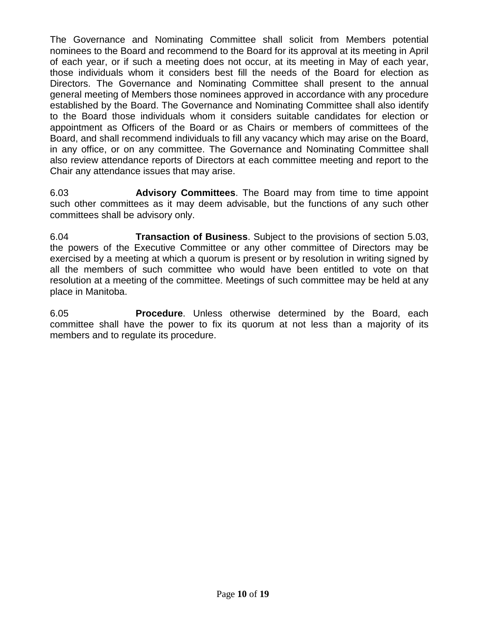The Governance and Nominating Committee shall solicit from Members potential nominees to the Board and recommend to the Board for its approval at its meeting in April of each year, or if such a meeting does not occur, at its meeting in May of each year, those individuals whom it considers best fill the needs of the Board for election as Directors. The Governance and Nominating Committee shall present to the annual general meeting of Members those nominees approved in accordance with any procedure established by the Board. The Governance and Nominating Committee shall also identify to the Board those individuals whom it considers suitable candidates for election or appointment as Officers of the Board or as Chairs or members of committees of the Board, and shall recommend individuals to fill any vacancy which may arise on the Board, in any office, or on any committee. The Governance and Nominating Committee shall also review attendance reports of Directors at each committee meeting and report to the Chair any attendance issues that may arise.

6.03 **Advisory Committees**. The Board may from time to time appoint such other committees as it may deem advisable, but the functions of any such other committees shall be advisory only.

6.04 **Transaction of Business**. Subject to the provisions of section 5.03, the powers of the Executive Committee or any other committee of Directors may be exercised by a meeting at which a quorum is present or by resolution in writing signed by all the members of such committee who would have been entitled to vote on that resolution at a meeting of the committee. Meetings of such committee may be held at any place in Manitoba.

6.05 **Procedure**. Unless otherwise determined by the Board, each committee shall have the power to fix its quorum at not less than a majority of its members and to regulate its procedure.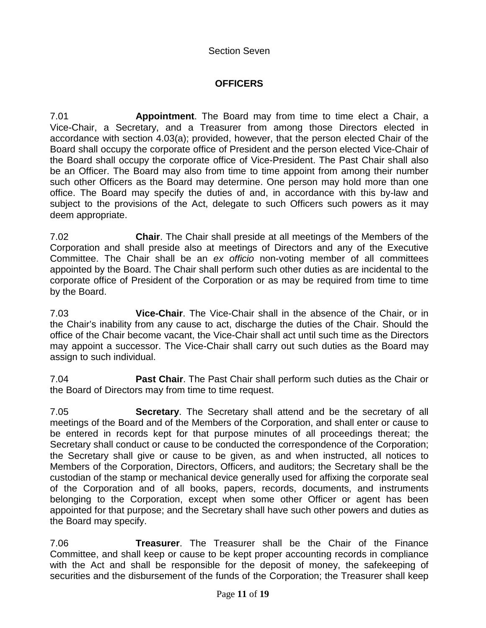Section Seven

# **OFFICERS**

7.01 **Appointment**. The Board may from time to time elect a Chair, a Vice-Chair, a Secretary, and a Treasurer from among those Directors elected in accordance with section 4.03(a); provided, however, that the person elected Chair of the Board shall occupy the corporate office of President and the person elected Vice-Chair of the Board shall occupy the corporate office of Vice-President. The Past Chair shall also be an Officer. The Board may also from time to time appoint from among their number such other Officers as the Board may determine. One person may hold more than one office. The Board may specify the duties of and, in accordance with this by-law and subject to the provisions of the Act, delegate to such Officers such powers as it may deem appropriate.

7.02 **Chair**. The Chair shall preside at all meetings of the Members of the Corporation and shall preside also at meetings of Directors and any of the Executive Committee. The Chair shall be an *ex officio* non-voting member of all committees appointed by the Board. The Chair shall perform such other duties as are incidental to the corporate office of President of the Corporation or as may be required from time to time by the Board.

7.03 **Vice-Chair**. The Vice-Chair shall in the absence of the Chair, or in the Chair's inability from any cause to act, discharge the duties of the Chair. Should the office of the Chair become vacant, the Vice-Chair shall act until such time as the Directors may appoint a successor. The Vice-Chair shall carry out such duties as the Board may assign to such individual.

7.04 **Past Chair**. The Past Chair shall perform such duties as the Chair or the Board of Directors may from time to time request.

7.05 **Secretary**. The Secretary shall attend and be the secretary of all meetings of the Board and of the Members of the Corporation, and shall enter or cause to be entered in records kept for that purpose minutes of all proceedings thereat; the Secretary shall conduct or cause to be conducted the correspondence of the Corporation; the Secretary shall give or cause to be given, as and when instructed, all notices to Members of the Corporation, Directors, Officers, and auditors; the Secretary shall be the custodian of the stamp or mechanical device generally used for affixing the corporate seal of the Corporation and of all books, papers, records, documents, and instruments belonging to the Corporation, except when some other Officer or agent has been appointed for that purpose; and the Secretary shall have such other powers and duties as the Board may specify.

7.06 **Treasurer**. The Treasurer shall be the Chair of the Finance Committee, and shall keep or cause to be kept proper accounting records in compliance with the Act and shall be responsible for the deposit of money, the safekeeping of securities and the disbursement of the funds of the Corporation; the Treasurer shall keep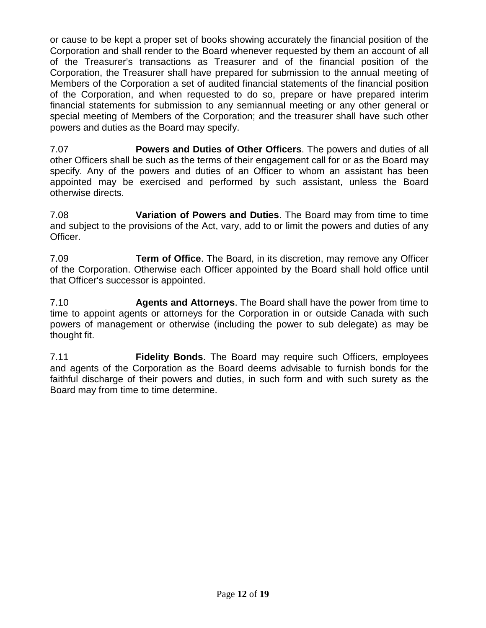or cause to be kept a proper set of books showing accurately the financial position of the Corporation and shall render to the Board whenever requested by them an account of all of the Treasurer's transactions as Treasurer and of the financial position of the Corporation, the Treasurer shall have prepared for submission to the annual meeting of Members of the Corporation a set of audited financial statements of the financial position of the Corporation, and when requested to do so, prepare or have prepared interim financial statements for submission to any semiannual meeting or any other general or special meeting of Members of the Corporation; and the treasurer shall have such other powers and duties as the Board may specify.

7.07 **Powers and Duties of Other Officers**. The powers and duties of all other Officers shall be such as the terms of their engagement call for or as the Board may specify. Any of the powers and duties of an Officer to whom an assistant has been appointed may be exercised and performed by such assistant, unless the Board otherwise directs.

7.08 **Variation of Powers and Duties**. The Board may from time to time and subject to the provisions of the Act, vary, add to or limit the powers and duties of any Officer.

7.09 **Term of Office**. The Board, in its discretion, may remove any Officer of the Corporation. Otherwise each Officer appointed by the Board shall hold office until that Officer's successor is appointed.

7.10 **Agents and Attorneys**. The Board shall have the power from time to time to appoint agents or attorneys for the Corporation in or outside Canada with such powers of management or otherwise (including the power to sub delegate) as may be thought fit.

7.11 **Fidelity Bonds**. The Board may require such Officers, employees and agents of the Corporation as the Board deems advisable to furnish bonds for the faithful discharge of their powers and duties, in such form and with such surety as the Board may from time to time determine.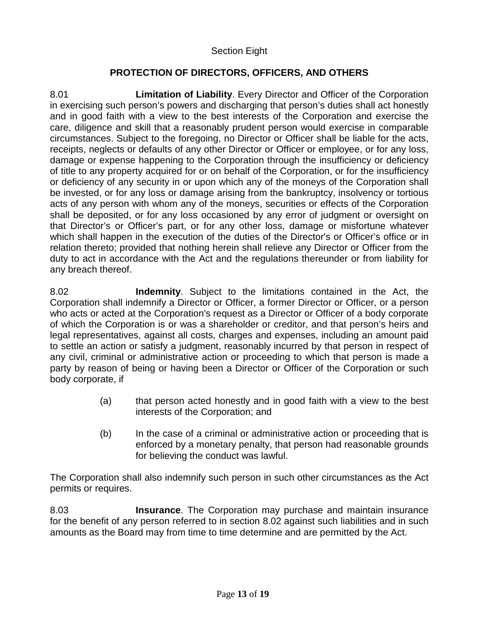## Section Eight

## **PROTECTION OF DIRECTORS, OFFICERS, AND OTHERS**

8.01 **Limitation of Liability**. Every Director and Officer of the Corporation in exercising such person's powers and discharging that person's duties shall act honestly and in good faith with a view to the best interests of the Corporation and exercise the care, diligence and skill that a reasonably prudent person would exercise in comparable circumstances. Subject to the foregoing, no Director or Officer shall be liable for the acts, receipts, neglects or defaults of any other Director or Officer or employee, or for any loss, damage or expense happening to the Corporation through the insufficiency or deficiency of title to any property acquired for or on behalf of the Corporation, or for the insufficiency or deficiency of any security in or upon which any of the moneys of the Corporation shall be invested, or for any loss or damage arising from the bankruptcy, insolvency or tortious acts of any person with whom any of the moneys, securities or effects of the Corporation shall be deposited, or for any loss occasioned by any error of judgment or oversight on that Director's or Officer's part, or for any other loss, damage or misfortune whatever which shall happen in the execution of the duties of the Director's or Officer's office or in relation thereto; provided that nothing herein shall relieve any Director or Officer from the duty to act in accordance with the Act and the regulations thereunder or from liability for any breach thereof.

8.02 **Indemnity**. Subject to the limitations contained in the Act, the Corporation shall indemnify a Director or Officer, a former Director or Officer, or a person who acts or acted at the Corporation's request as a Director or Officer of a body corporate of which the Corporation is or was a shareholder or creditor, and that person's heirs and legal representatives, against all costs, charges and expenses, including an amount paid to settle an action or satisfy a judgment, reasonably incurred by that person in respect of any civil, criminal or administrative action or proceeding to which that person is made a party by reason of being or having been a Director or Officer of the Corporation or such body corporate, if

- (a) that person acted honestly and in good faith with a view to the best interests of the Corporation; and
- (b) In the case of a criminal or administrative action or proceeding that is enforced by a monetary penalty, that person had reasonable grounds for believing the conduct was lawful.

The Corporation shall also indemnify such person in such other circumstances as the Act permits or requires.

8.03 **Insurance**. The Corporation may purchase and maintain insurance for the benefit of any person referred to in section 8.02 against such liabilities and in such amounts as the Board may from time to time determine and are permitted by the Act.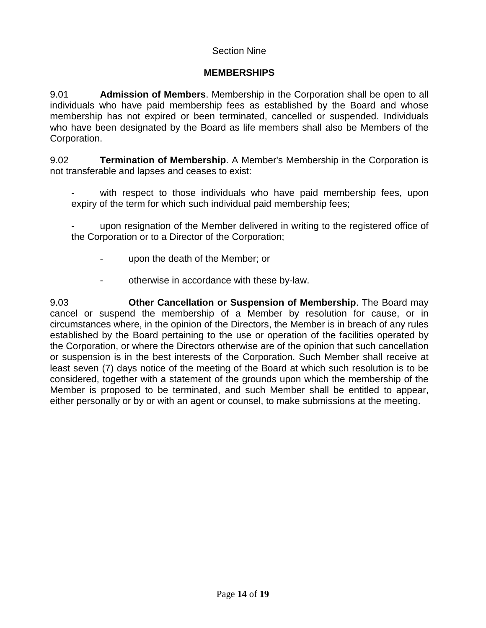## Section Nine

## **MEMBERSHIPS**

9.01 **Admission of Members**. Membership in the Corporation shall be open to all individuals who have paid membership fees as established by the Board and whose membership has not expired or been terminated, cancelled or suspended. Individuals who have been designated by the Board as life members shall also be Members of the Corporation.

9.02 **Termination of Membership**. A Member's Membership in the Corporation is not transferable and lapses and ceases to exist:

with respect to those individuals who have paid membership fees, upon expiry of the term for which such individual paid membership fees;

upon resignation of the Member delivered in writing to the registered office of the Corporation or to a Director of the Corporation;

- upon the death of the Member; or
- otherwise in accordance with these by-law.

9.03 **Other Cancellation or Suspension of Membership**. The Board may cancel or suspend the membership of a Member by resolution for cause, or in circumstances where, in the opinion of the Directors, the Member is in breach of any rules established by the Board pertaining to the use or operation of the facilities operated by the Corporation, or where the Directors otherwise are of the opinion that such cancellation or suspension is in the best interests of the Corporation. Such Member shall receive at least seven (7) days notice of the meeting of the Board at which such resolution is to be considered, together with a statement of the grounds upon which the membership of the Member is proposed to be terminated, and such Member shall be entitled to appear, either personally or by or with an agent or counsel, to make submissions at the meeting.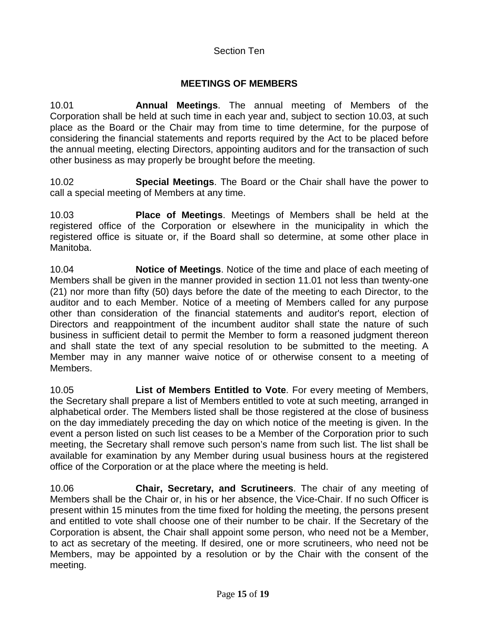#### Section Ten

# **MEETINGS OF MEMBERS**

10.01 **Annual Meetings**. The annual meeting of Members of the Corporation shall be held at such time in each year and, subject to section 10.03, at such place as the Board or the Chair may from time to time determine, for the purpose of considering the financial statements and reports required by the Act to be placed before the annual meeting, electing Directors, appointing auditors and for the transaction of such other business as may properly be brought before the meeting.

10.02 **Special Meetings**. The Board or the Chair shall have the power to call a special meeting of Members at any time.

10.03 **Place of Meetings**. Meetings of Members shall be held at the registered office of the Corporation or elsewhere in the municipality in which the registered office is situate or, if the Board shall so determine, at some other place in Manitoba.

10.04 **Notice of Meetings**. Notice of the time and place of each meeting of Members shall be given in the manner provided in section 11.01 not less than twenty-one (21) nor more than fifty (50) days before the date of the meeting to each Director, to the auditor and to each Member. Notice of a meeting of Members called for any purpose other than consideration of the financial statements and auditor's report, election of Directors and reappointment of the incumbent auditor shall state the nature of such business in sufficient detail to permit the Member to form a reasoned judgment thereon and shall state the text of any special resolution to be submitted to the meeting. A Member may in any manner waive notice of or otherwise consent to a meeting of Members.

10.05 **List of Members Entitled to Vote**. For every meeting of Members, the Secretary shall prepare a list of Members entitled to vote at such meeting, arranged in alphabetical order. The Members listed shall be those registered at the close of business on the day immediately preceding the day on which notice of the meeting is given. In the event a person listed on such list ceases to be a Member of the Corporation prior to such meeting, the Secretary shall remove such person's name from such list. The list shall be available for examination by any Member during usual business hours at the registered office of the Corporation or at the place where the meeting is held.

10.06 **Chair, Secretary, and Scrutineers**. The chair of any meeting of Members shall be the Chair or, in his or her absence, the Vice-Chair. If no such Officer is present within 15 minutes from the time fixed for holding the meeting, the persons present and entitled to vote shall choose one of their number to be chair. If the Secretary of the Corporation is absent, the Chair shall appoint some person, who need not be a Member, to act as secretary of the meeting. lf desired, one or more scrutineers, who need not be Members, may be appointed by a resolution or by the Chair with the consent of the meeting.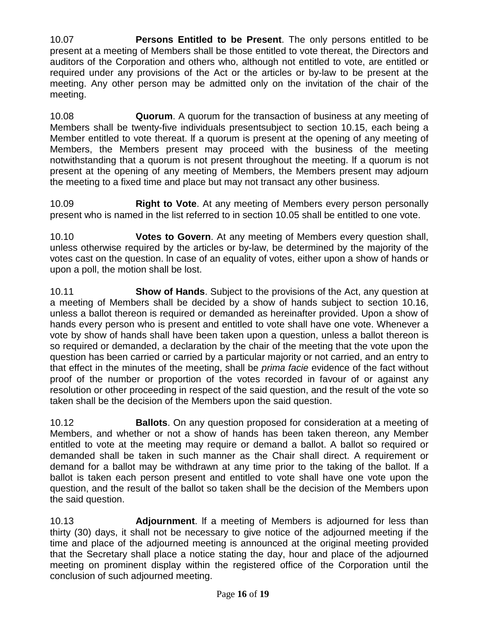10.07 **Persons Entitled to be Present**. The only persons entitled to be present at a meeting of Members shall be those entitled to vote thereat, the Directors and auditors of the Corporation and others who, although not entitled to vote, are entitled or required under any provisions of the Act or the articles or by-law to be present at the meeting. Any other person may be admitted only on the invitation of the chair of the meeting.

10.08 **Quorum**. A quorum for the transaction of business at any meeting of Members shall be twenty-five individuals presentsubject to section 10.15, each being a Member entitled to vote thereat. lf a quorum is present at the opening of any meeting of Members, the Members present may proceed with the business of the meeting notwithstanding that a quorum is not present throughout the meeting. lf a quorum is not present at the opening of any meeting of Members, the Members present may adjourn the meeting to a fixed time and place but may not transact any other business.

10.09 **Right to Vote**. At any meeting of Members every person personally present who is named in the list referred to in section 10.05 shall be entitled to one vote.

10.10 **Votes to Govern**. At any meeting of Members every question shall, unless otherwise required by the articles or by-law, be determined by the majority of the votes cast on the question. ln case of an equality of votes, either upon a show of hands or upon a poll, the motion shall be lost.

10.11 **Show of Hands**. Subject to the provisions of the Act, any question at a meeting of Members shall be decided by a show of hands subject to section 10.16, unless a ballot thereon is required or demanded as hereinafter provided. Upon a show of hands every person who is present and entitled to vote shall have one vote. Whenever a vote by show of hands shall have been taken upon a question, unless a ballot thereon is so required or demanded, a declaration by the chair of the meeting that the vote upon the question has been carried or carried by a particular majority or not carried, and an entry to that effect in the minutes of the meeting, shall be *prima facie* evidence of the fact without proof of the number or proportion of the votes recorded in favour of or against any resolution or other proceeding in respect of the said question, and the result of the vote so taken shall be the decision of the Members upon the said question.

10.12 **Ballots**. On any question proposed for consideration at a meeting of Members, and whether or not a show of hands has been taken thereon, any Member entitled to vote at the meeting may require or demand a ballot. A ballot so required or demanded shall be taken in such manner as the Chair shall direct. A requirement or demand for a ballot may be withdrawn at any time prior to the taking of the ballot. lf a ballot is taken each person present and entitled to vote shall have one vote upon the question, and the result of the ballot so taken shall be the decision of the Members upon the said question.

10.13 **Adjournment**. lf a meeting of Members is adjourned for less than thirty (30) days, it shall not be necessary to give notice of the adjourned meeting if the time and place of the adjourned meeting is announced at the original meeting provided that the Secretary shall place a notice stating the day, hour and place of the adjourned meeting on prominent display within the registered office of the Corporation until the conclusion of such adjourned meeting.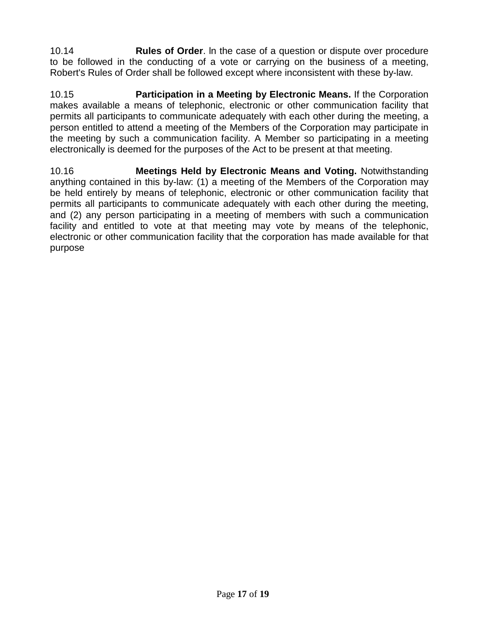10.14 **Rules of Order**. ln the case of a question or dispute over procedure to be followed in the conducting of a vote or carrying on the business of a meeting, Robert's Rules of Order shall be followed except where inconsistent with these by-law.

10.15 **Participation in a Meeting by Electronic Means.** If the Corporation makes available a means of telephonic, electronic or other communication facility that permits all participants to communicate adequately with each other during the meeting, a person entitled to attend a meeting of the Members of the Corporation may participate in the meeting by such a communication facility. A Member so participating in a meeting electronically is deemed for the purposes of the Act to be present at that meeting.

10.16 **Meetings Held by Electronic Means and Voting.** Notwithstanding anything contained in this by-law: (1) a meeting of the Members of the Corporation may be held entirely by means of telephonic, electronic or other communication facility that permits all participants to communicate adequately with each other during the meeting, and (2) any person participating in a meeting of members with such a communication facility and entitled to vote at that meeting may vote by means of the telephonic, electronic or other communication facility that the corporation has made available for that purpose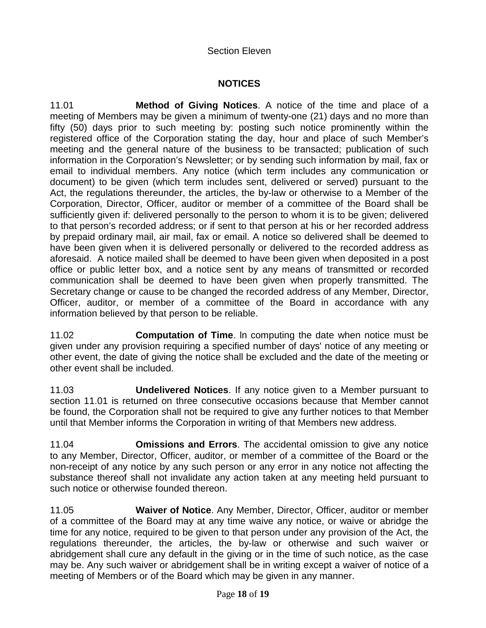#### Section Eleven

## **NOTICES**

11.01 **Method of Giving Notices**. A notice of the time and place of a meeting of Members may be given a minimum of twenty-one (21) days and no more than fifty (50) days prior to such meeting by: posting such notice prominently within the registered office of the Corporation stating the day, hour and place of such Member's meeting and the general nature of the business to be transacted; publication of such information in the Corporation's Newsletter; or by sending such information by mail, fax or email to individual members. Any notice (which term includes any communication or document) to be given (which term includes sent, delivered or served) pursuant to the Act, the regulations thereunder, the articles, the by-law or otherwise to a Member of the Corporation, Director, Officer, auditor or member of a committee of the Board shall be sufficiently given if: delivered personally to the person to whom it is to be given; delivered to that person's recorded address; or if sent to that person at his or her recorded address by prepaid ordinary mail, air mail, fax or email. A notice so delivered shall be deemed to have been given when it is delivered personally or delivered to the recorded address as aforesaid. A notice mailed shall be deemed to have been given when deposited in a post office or public letter box, and a notice sent by any means of transmitted or recorded communication shall be deemed to have been given when properly transmitted. The Secretary change or cause to be changed the recorded address of any Member, Director, Officer, auditor, or member of a committee of the Board in accordance with any information believed by that person to be reliable.

11.02 **Computation of Time**. ln computing the date when notice must be given under any provision requiring a specified number of days' notice of any meeting or other event, the date of giving the notice shall be excluded and the date of the meeting or other event shall be included.

11.03 **Undelivered Notices**. If any notice given to a Member pursuant to section 11.01 is returned on three consecutive occasions because that Member cannot be found, the Corporation shall not be required to give any further notices to that Member until that Member informs the Corporation in writing of that Members new address.

11.04 **Omissions and Errors**. The accidental omission to give any notice to any Member, Director, Officer, auditor, or member of a committee of the Board or the non-receipt of any notice by any such person or any error in any notice not affecting the substance thereof shall not invalidate any action taken at any meeting held pursuant to such notice or otherwise founded thereon.

11.05 **Waiver of Notice**. Any Member, Director, Officer, auditor or member of a committee of the Board may at any time waive any notice, or waive or abridge the time for any notice, required to be given to that person under any provision of the Act, the regulations thereunder, the articles, the by-law or otherwise and such waiver or abridgement shall cure any default in the giving or in the time of such notice, as the case may be. Any such waiver or abridgement shall be in writing except a waiver of notice of a meeting of Members or of the Board which may be given in any manner.